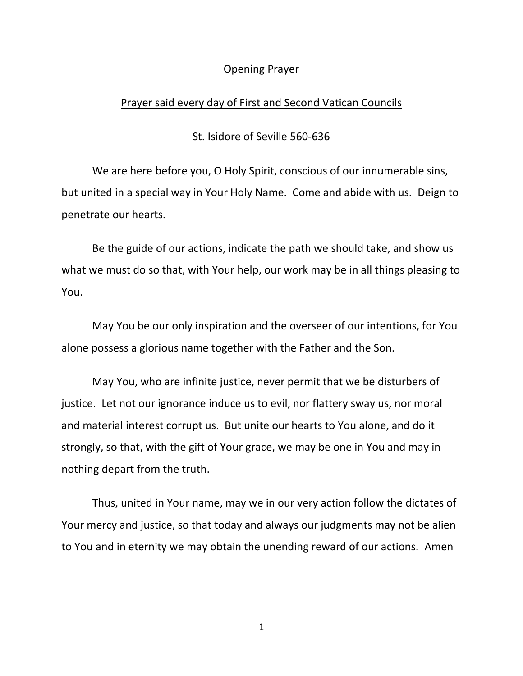#### Opening Prayer

#### Prayer said every day of First and Second Vatican Councils

St. Isidore of Seville 560-636

We are here before you, O Holy Spirit, conscious of our innumerable sins, but united in a special way in Your Holy Name. Come and abide with us. Deign to penetrate our hearts.

Be the guide of our actions, indicate the path we should take, and show us what we must do so that, with Your help, our work may be in all things pleasing to You.

May You be our only inspiration and the overseer of our intentions, for You alone possess a glorious name together with the Father and the Son.

May You, who are infinite justice, never permit that we be disturbers of justice. Let not our ignorance induce us to evil, nor flattery sway us, nor moral and material interest corrupt us. But unite our hearts to You alone, and do it strongly, so that, with the gift of Your grace, we may be one in You and may in nothing depart from the truth.

Thus, united in Your name, may we in our very action follow the dictates of Your mercy and justice, so that today and always our judgments may not be alien to You and in eternity we may obtain the unending reward of our actions. Amen

1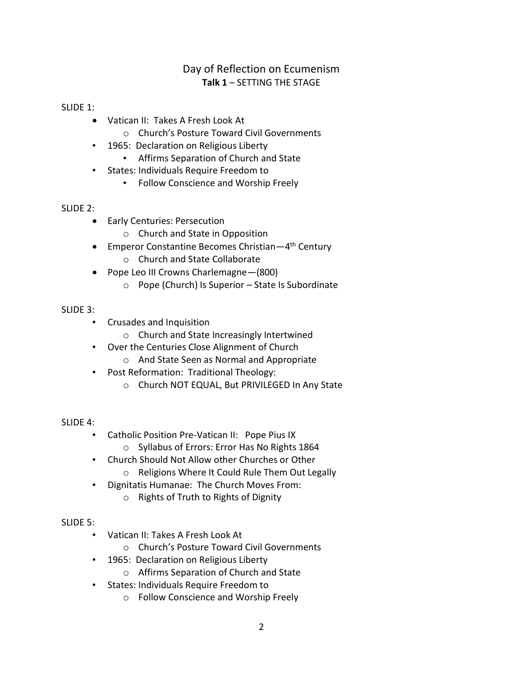### Day of Reflection on Ecumenism **Talk 1** – SETTING THE STAGE

#### SLIDE 1:

- Vatican II: Takes A Fresh Look At
	- o Church's Posture Toward Civil Governments
- 1965: Declaration on Religious Liberty
	- Affirms Separation of Church and State
- States: Individuals Require Freedom to
	- Follow Conscience and Worship Freely

#### SLIDE 2:

- Early Centuries: Persecution
	- o Church and State in Opposition
- Emperor Constantine Becomes Christian—4<sup>th</sup> Century
	- o Church and State Collaborate
- Pope Leo III Crowns Charlemagne—(800)
	- o Pope (Church) Is Superior State Is Subordinate

### SLIDE 3:

- Crusades and Inquisition
	- o Church and State Increasingly Intertwined
- Over the Centuries Close Alignment of Church
	- o And State Seen as Normal and Appropriate
- Post Reformation: Traditional Theology:
	- o Church NOT EQUAL, But PRIVILEGED In Any State

### SLIDE 4:

- Catholic Position Pre-Vatican II: Pope Pius IX
	- o Syllabus of Errors: Error Has No Rights 1864
- Church Should Not Allow other Churches or Other
	- o Religions Where It Could Rule Them Out Legally
- Dignitatis Humanae: The Church Moves From:
	- o Rights of Truth to Rights of Dignity

### SLIDE 5:

- Vatican II: Takes A Fresh Look At
	- o Church's Posture Toward Civil Governments
- 1965: Declaration on Religious Liberty
	- o Affirms Separation of Church and State
- States: Individuals Require Freedom to
	- o Follow Conscience and Worship Freely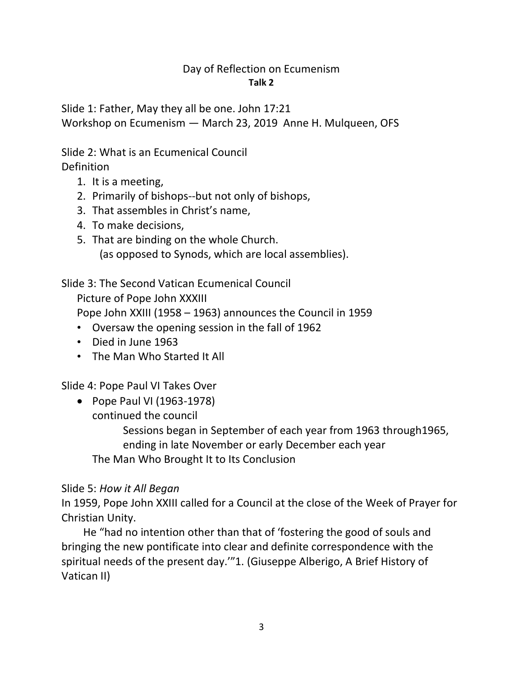### Day of Reflection on Ecumenism **Talk 2**

Slide 1: Father, May they all be one. John 17:21 Workshop on Ecumenism — March 23, 2019 Anne H. Mulqueen, OFS

Slide 2: What is an Ecumenical Council

Definition

- 1. It is a meeting,
- 2. Primarily of bishops--but not only of bishops,
- 3. That assembles in Christ's name,
- 4. To make decisions,
- 5. That are binding on the whole Church. (as opposed to Synods, which are local assemblies).

Slide 3: The Second Vatican Ecumenical Council

Picture of Pope John XXXIII

Pope John XXIII (1958 – 1963) announces the Council in 1959

- Oversaw the opening session in the fall of 1962
- Died in June 1963
- The Man Who Started It All

Slide 4: Pope Paul VI Takes Over

• Pope Paul VI (1963-1978) continued the council

> Sessions began in September of each year from 1963 through1965, ending in late November or early December each year The Man Who Brought It to Its Conclusion

## Slide 5: *How it All Began*

In 1959, Pope John XXIII called for a Council at the close of the Week of Prayer for Christian Unity.

 He "had no intention other than that of 'fostering the good of souls and bringing the new pontificate into clear and definite correspondence with the spiritual needs of the present day.'"1. (Giuseppe Alberigo, A Brief History of Vatican II)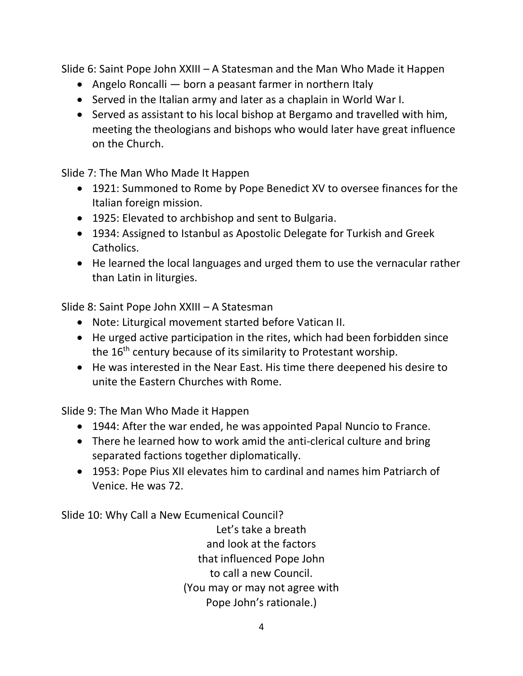Slide 6: Saint Pope John XXIII – A Statesman and the Man Who Made it Happen

- Angelo Roncalli born a peasant farmer in northern Italy
- Served in the Italian army and later as a chaplain in World War I.
- Served as assistant to his local bishop at Bergamo and travelled with him, meeting the theologians and bishops who would later have great influence on the Church.

Slide 7: The Man Who Made It Happen

- 1921: Summoned to Rome by Pope Benedict XV to oversee finances for the Italian foreign mission.
- 1925: Elevated to archbishop and sent to Bulgaria.
- 1934: Assigned to Istanbul as Apostolic Delegate for Turkish and Greek Catholics.
- He learned the local languages and urged them to use the vernacular rather than Latin in liturgies.

Slide 8: Saint Pope John XXIII – A Statesman

- Note: Liturgical movement started before Vatican II.
- He urged active participation in the rites, which had been forbidden since the 16<sup>th</sup> century because of its similarity to Protestant worship.
- He was interested in the Near East. His time there deepened his desire to unite the Eastern Churches with Rome.

Slide 9: The Man Who Made it Happen

- 1944: After the war ended, he was appointed Papal Nuncio to France.
- There he learned how to work amid the anti-clerical culture and bring separated factions together diplomatically.
- 1953: Pope Pius XII elevates him to cardinal and names him Patriarch of Venice. He was 72.

Slide 10: Why Call a New Ecumenical Council?

Let's take a breath and look at the factors that influenced Pope John to call a new Council. (You may or may not agree with Pope John's rationale.)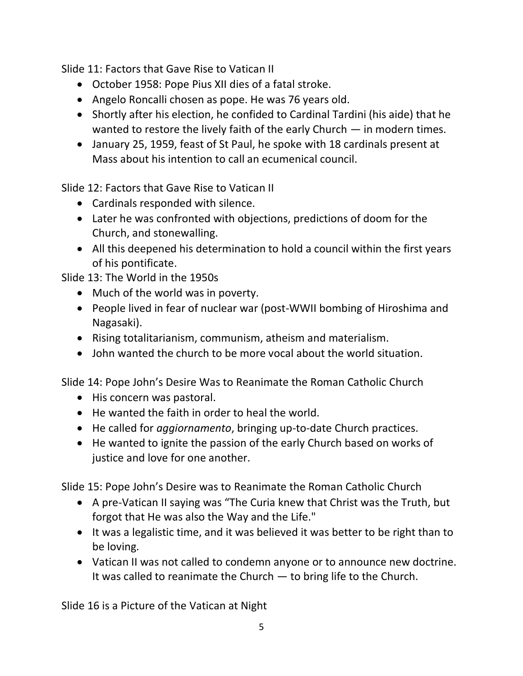Slide 11: Factors that Gave Rise to Vatican II

- October 1958: Pope Pius XII dies of a fatal stroke.
- Angelo Roncalli chosen as pope. He was 76 years old.
- Shortly after his election, he confided to Cardinal Tardini (his aide) that he wanted to restore the lively faith of the early Church — in modern times.
- January 25, 1959, feast of St Paul, he spoke with 18 cardinals present at Mass about his intention to call an ecumenical council.

Slide 12: Factors that Gave Rise to Vatican II

- Cardinals responded with silence.
- Later he was confronted with objections, predictions of doom for the Church, and stonewalling.
- All this deepened his determination to hold a council within the first years of his pontificate.

Slide 13: The World in the 1950s

- Much of the world was in poverty.
- People lived in fear of nuclear war (post-WWII bombing of Hiroshima and Nagasaki).
- Rising totalitarianism, communism, atheism and materialism.
- John wanted the church to be more vocal about the world situation.

Slide 14: Pope John's Desire Was to Reanimate the Roman Catholic Church

- His concern was pastoral.
- He wanted the faith in order to heal the world.
- He called for *aggiornamento*, bringing up-to-date Church practices.
- He wanted to ignite the passion of the early Church based on works of justice and love for one another.

Slide 15: Pope John's Desire was to Reanimate the Roman Catholic Church

- A pre-Vatican II saying was "The Curia knew that Christ was the Truth, but forgot that He was also the Way and the Life."
- It was a legalistic time, and it was believed it was better to be right than to be loving.
- Vatican II was not called to condemn anyone or to announce new doctrine. It was called to reanimate the Church — to bring life to the Church.

Slide 16 is a Picture of the Vatican at Night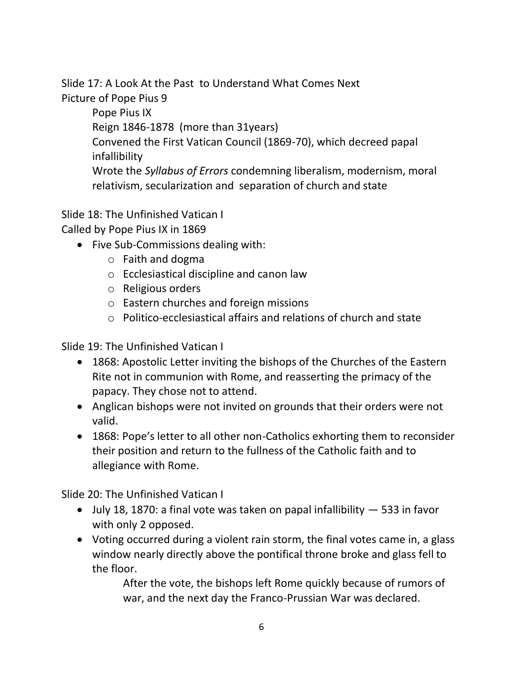Slide 17: A Look At the Past to Understand What Comes Next Picture of Pope Pius 9

> Pope Pius IX Reign 1846-1878 (more than 31years) Convened the First Vatican Council (1869-70), which decreed papal infallibility Wrote the *Syllabus of Errors* condemning liberalism, modernism, moral relativism, secularization and separation of church and state

Slide 18: The Unfinished Vatican I

Called by Pope Pius IX in 1869

- Five Sub-Commissions dealing with:
	- o Faith and dogma
	- o Ecclesiastical discipline and canon law
	- o Religious orders
	- o Eastern churches and foreign missions
	- o Politico-ecclesiastical affairs and relations of church and state

Slide 19: The Unfinished Vatican I

- 1868: Apostolic Letter inviting the bishops of the Churches of the Eastern Rite not in communion with Rome, and reasserting the primacy of the papacy. They chose not to attend.
- Anglican bishops were not invited on grounds that their orders were not valid.
- 1868: Pope's letter to all other non-Catholics exhorting them to reconsider their position and return to the fullness of the Catholic faith and to allegiance with Rome.

Slide 20: The Unfinished Vatican I

- July 18, 1870: a final vote was taken on papal infallibility 533 in favor with only 2 opposed.
- Voting occurred during a violent rain storm, the final votes came in, a glass window nearly directly above the pontifical throne broke and glass fell to the floor.

After the vote, the bishops left Rome quickly because of rumors of war, and the next day the Franco-Prussian War was declared.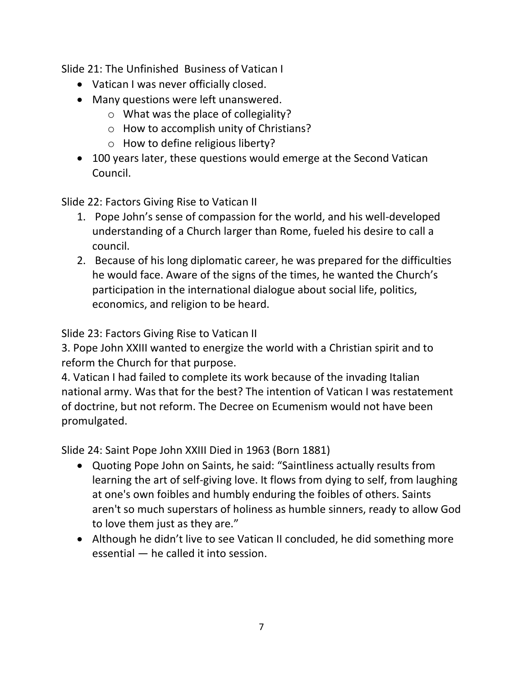Slide 21: The Unfinished Business of Vatican I

- Vatican I was never officially closed.
- Many questions were left unanswered.
	- o What was the place of collegiality?
	- o How to accomplish unity of Christians?
	- o How to define religious liberty?
- 100 years later, these questions would emerge at the Second Vatican Council.

Slide 22: Factors Giving Rise to Vatican II

- 1. Pope John's sense of compassion for the world, and his well-developed understanding of a Church larger than Rome, fueled his desire to call a council.
- 2. Because of his long diplomatic career, he was prepared for the difficulties he would face. Aware of the signs of the times, he wanted the Church's participation in the international dialogue about social life, politics, economics, and religion to be heard.

Slide 23: Factors Giving Rise to Vatican II

3. Pope John XXIII wanted to energize the world with a Christian spirit and to reform the Church for that purpose.

4. Vatican I had failed to complete its work because of the invading Italian national army. Was that for the best? The intention of Vatican I was restatement of doctrine, but not reform. The Decree on Ecumenism would not have been promulgated.

Slide 24: Saint Pope John XXIII Died in 1963 (Born 1881)

- Quoting Pope John on Saints, he said: "Saintliness actually results from learning the art of self-giving love. It flows from dying to self, from laughing at one's own foibles and humbly enduring the foibles of others. Saints aren't so much superstars of holiness as humble sinners, ready to allow God to love them just as they are."
- Although he didn't live to see Vatican II concluded, he did something more essential — he called it into session.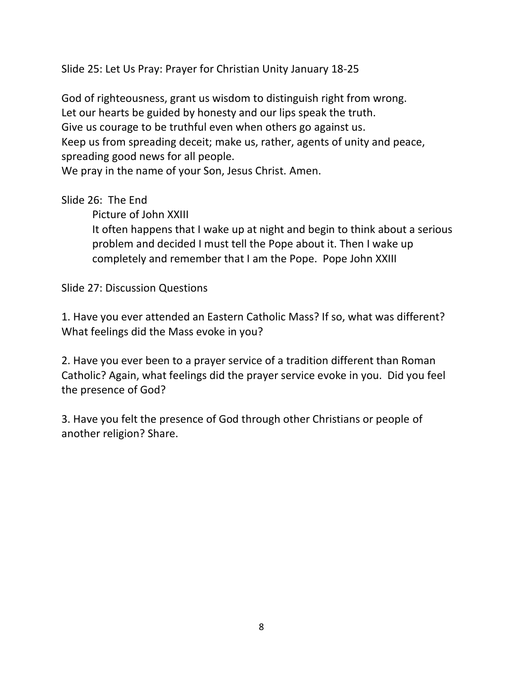Slide 25: Let Us Pray: Prayer for Christian Unity January 18-25

God of righteousness, grant us wisdom to distinguish right from wrong. Let our hearts be guided by honesty and our lips speak the truth. Give us courage to be truthful even when others go against us. Keep us from spreading deceit; make us, rather, agents of unity and peace, spreading good news for all people. We pray in the name of your Son, Jesus Christ. Amen.

## Slide 26: The End

Picture of John XXIII

It often happens that I wake up at night and begin to think about a serious problem and decided I must tell the Pope about it. Then I wake up completely and remember that I am the Pope. Pope John XXIII

Slide 27: Discussion Questions

1. Have you ever attended an Eastern Catholic Mass? If so, what was different? What feelings did the Mass evoke in you?

2. Have you ever been to a prayer service of a tradition different than Roman Catholic? Again, what feelings did the prayer service evoke in you. Did you feel the presence of God?

3. Have you felt the presence of God through other Christians or people of another religion? Share.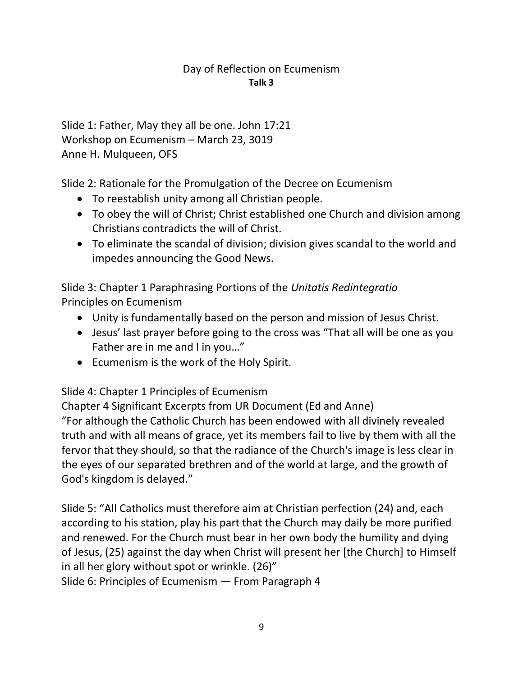## Day of Reflection on Ecumenism **Talk 3**

Slide 1: Father, May they all be one. John 17:21 Workshop on Ecumenism – March 23, 3019 Anne H. Mulqueen, OFS

Slide 2: Rationale for the Promulgation of the Decree on Ecumenism

- To reestablish unity among all Christian people.
- To obey the will of Christ; Christ established one Church and division among Christians contradicts the will of Christ.
- To eliminate the scandal of division; division gives scandal to the world and impedes announcing the Good News.

Slide 3: Chapter 1 Paraphrasing Portions of the *Unitatis Redintegratio*  Principles on Ecumenism

- Unity is fundamentally based on the person and mission of Jesus Christ.
- Jesus' last prayer before going to the cross was "That all will be one as you Father are in me and I in you…"
- Ecumenism is the work of the Holy Spirit.

Slide 4: Chapter 1 Principles of Ecumenism

Chapter 4 Significant Excerpts from UR Document (Ed and Anne) "For although the Catholic Church has been endowed with all divinely revealed truth and with all means of grace, yet its members fail to live by them with all the fervor that they should, so that the radiance of the Church's image is less clear in the eyes of our separated brethren and of the world at large, and the growth of God's kingdom is delayed."

Slide 5: "All Catholics must therefore aim at Christian perfection (24) and, each according to his station, play his part that the Church may daily be more purified and renewed. For the Church must bear in her own body the humility and dying of Jesus, (25) against the day when Christ will present her [the Church] to Himself in all her glory without spot or wrinkle. (26)"

Slide 6: Principles of Ecumenism — From Paragraph 4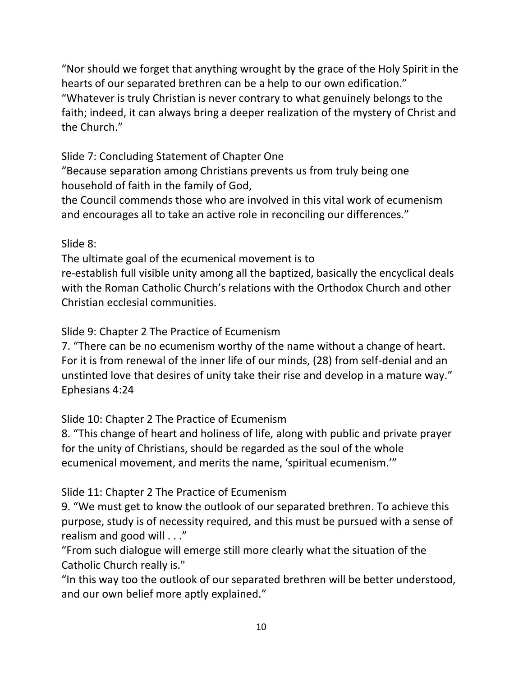"Nor should we forget that anything wrought by the grace of the Holy Spirit in the hearts of our separated brethren can be a help to our own edification." "Whatever is truly Christian is never contrary to what genuinely belongs to the faith; indeed, it can always bring a deeper realization of the mystery of Christ and the Church."

# Slide 7: Concluding Statement of Chapter One

"Because separation among Christians prevents us from truly being one household of faith in the family of God,

the Council commends those who are involved in this vital work of ecumenism and encourages all to take an active role in reconciling our differences."

# Slide 8:

The ultimate goal of the ecumenical movement is to re-establish full visible unity among all the baptized, basically the encyclical deals with the Roman Catholic Church's relations with the Orthodox Church and other Christian ecclesial communities.

Slide 9: Chapter 2 The Practice of Ecumenism

7. "There can be no ecumenism worthy of the name without a change of heart. For it is from renewal of the inner life of our minds, (28) from self-denial and an unstinted love that desires of unity take their rise and develop in a mature way." Ephesians 4:24

Slide 10: Chapter 2 The Practice of Ecumenism

8. "This change of heart and holiness of life, along with public and private prayer for the unity of Christians, should be regarded as the soul of the whole ecumenical movement, and merits the name, 'spiritual ecumenism.'"

# Slide 11: Chapter 2 The Practice of Ecumenism

9. "We must get to know the outlook of our separated brethren. To achieve this purpose, study is of necessity required, and this must be pursued with a sense of realism and good will . . ."

"From such dialogue will emerge still more clearly what the situation of the Catholic Church really is."

"In this way too the outlook of our separated brethren will be better understood, and our own belief more aptly explained."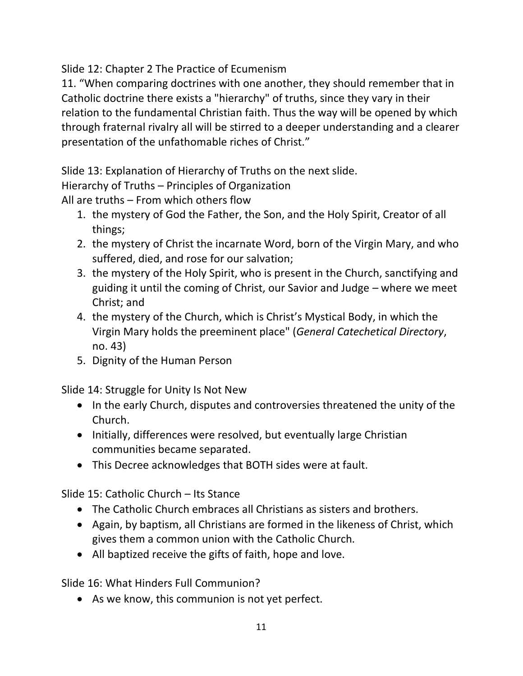Slide 12: Chapter 2 The Practice of Ecumenism

11. "When comparing doctrines with one another, they should remember that in Catholic doctrine there exists a "hierarchy" of truths, since they vary in their relation to the fundamental Christian faith. Thus the way will be opened by which through fraternal rivalry all will be stirred to a deeper understanding and a clearer presentation of the unfathomable riches of Christ."

Slide 13: Explanation of Hierarchy of Truths on the next slide.

Hierarchy of Truths – Principles of Organization

All are truths – From which others flow

- 1. the mystery of God the Father, the Son, and the Holy Spirit, Creator of all things;
- 2. the mystery of Christ the incarnate Word, born of the Virgin Mary, and who suffered, died, and rose for our salvation;
- 3. the mystery of the Holy Spirit, who is present in the Church, sanctifying and guiding it until the coming of Christ, our Savior and Judge – where we meet Christ; and
- 4. the mystery of the Church, which is Christ's Mystical Body, in which the Virgin Mary holds the preeminent place" (*General Catechetical Directory*, no. 43)
- 5. Dignity of the Human Person

Slide 14: Struggle for Unity Is Not New

- In the early Church, disputes and controversies threatened the unity of the Church.
- Initially, differences were resolved, but eventually large Christian communities became separated.
- This Decree acknowledges that BOTH sides were at fault.

Slide 15: Catholic Church – Its Stance

- The Catholic Church embraces all Christians as sisters and brothers.
- Again, by baptism, all Christians are formed in the likeness of Christ, which gives them a common union with the Catholic Church.
- All baptized receive the gifts of faith, hope and love.

Slide 16: What Hinders Full Communion?

• As we know, this communion is not yet perfect.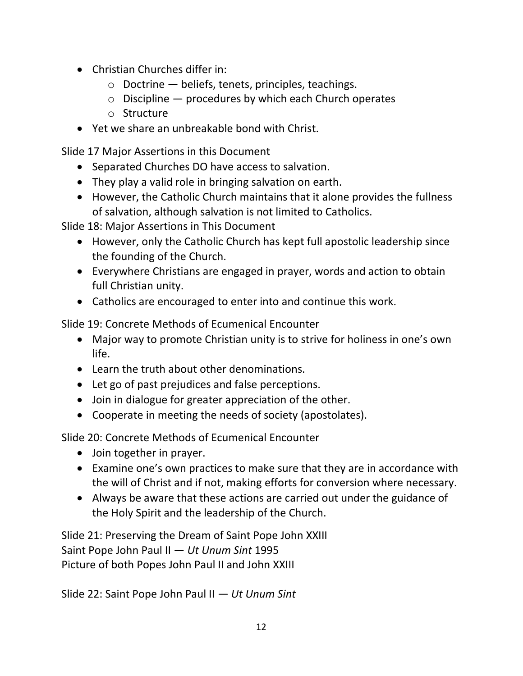- Christian Churches differ in:
	- $\circ$  Doctrine  $-$  beliefs, tenets, principles, teachings.
	- $\circ$  Discipline  $-$  procedures by which each Church operates
	- o Structure
- Yet we share an unbreakable bond with Christ.

Slide 17 Major Assertions in this Document

- Separated Churches DO have access to salvation.
- They play a valid role in bringing salvation on earth.
- However, the Catholic Church maintains that it alone provides the fullness of salvation, although salvation is not limited to Catholics.

Slide 18: Major Assertions in This Document

- However, only the Catholic Church has kept full apostolic leadership since the founding of the Church.
- Everywhere Christians are engaged in prayer, words and action to obtain full Christian unity.
- Catholics are encouraged to enter into and continue this work.

Slide 19: Concrete Methods of Ecumenical Encounter

- Major way to promote Christian unity is to strive for holiness in one's own life.
- Learn the truth about other denominations.
- Let go of past prejudices and false perceptions.
- Join in dialogue for greater appreciation of the other.
- Cooperate in meeting the needs of society (apostolates).

Slide 20: Concrete Methods of Ecumenical Encounter

- Join together in prayer.
- Examine one's own practices to make sure that they are in accordance with the will of Christ and if not, making efforts for conversion where necessary.
- Always be aware that these actions are carried out under the guidance of the Holy Spirit and the leadership of the Church.

Slide 21: Preserving the Dream of Saint Pope John XXIII Saint Pope John Paul II — *Ut Unum Sint* 1995 Picture of both Popes John Paul II and John XXIII

Slide 22: Saint Pope John Paul II — *Ut Unum Sint*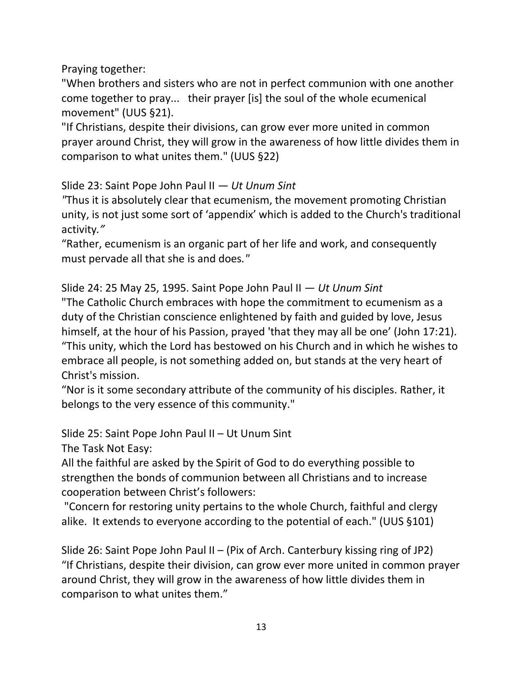Praying together:

"When brothers and sisters who are not in perfect communion with one another come together to pray... their prayer [is] the soul of the whole ecumenical movement" (UUS §21).

"If Christians, despite their divisions, can grow ever more united in common prayer around Christ, they will grow in the awareness of how little divides them in comparison to what unites them." (UUS §22)

Slide 23: Saint Pope John Paul II — *Ut Unum Sint*

*"*Thus it is absolutely clear that ecumenism, the movement promoting Christian unity, is not just some sort of 'appendix' which is added to the Church's traditional activity*."* 

"Rather, ecumenism is an organic part of her life and work, and consequently must pervade all that she is and does*."*

Slide 24: 25 May 25, 1995. Saint Pope John Paul II — *Ut Unum Sint* "The Catholic Church embraces with hope the commitment to ecumenism as a duty of the Christian conscience enlightened by faith and guided by love, Jesus himself, at the hour of his Passion, prayed 'that they may all be one' (John 17:21). "This unity, which the Lord has bestowed on his Church and in which he wishes to embrace all people, is not something added on, but stands at the very heart of Christ's mission.

"Nor is it some secondary attribute of the community of his disciples. Rather, it belongs to the very essence of this community."

Slide 25: Saint Pope John Paul II – Ut Unum Sint

The Task Not Easy:

All the faithful are asked by the Spirit of God to do everything possible to strengthen the bonds of communion between all Christians and to increase cooperation between Christ's followers:

"Concern for restoring unity pertains to the whole Church, faithful and clergy alike. It extends to everyone according to the potential of each." (UUS §101)

Slide 26: Saint Pope John Paul II – (Pix of Arch. Canterbury kissing ring of JP2) "If Christians, despite their division, can grow ever more united in common prayer around Christ, they will grow in the awareness of how little divides them in comparison to what unites them."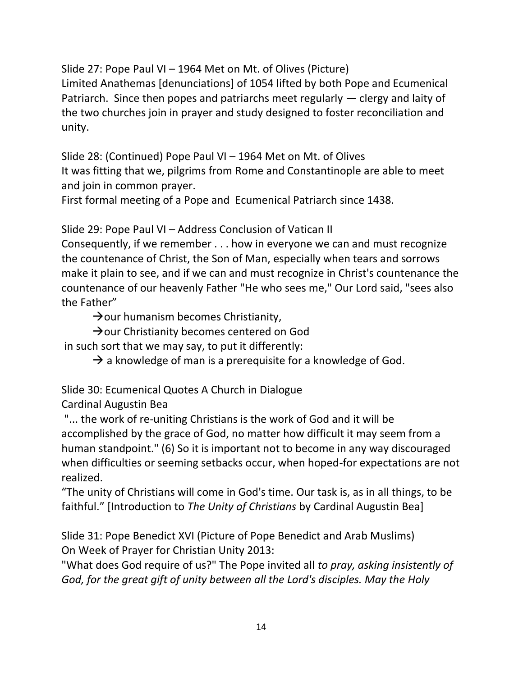Slide 27: Pope Paul VI – 1964 Met on Mt. of Olives (Picture)

Limited Anathemas [denunciations] of 1054 lifted by both Pope and Ecumenical Patriarch. Since then popes and patriarchs meet regularly — clergy and laity of the two churches join in prayer and study designed to foster reconciliation and unity.

Slide 28: (Continued) Pope Paul VI – 1964 Met on Mt. of Olives It was fitting that we, pilgrims from Rome and Constantinople are able to meet and join in common prayer.

First formal meeting of a Pope and Ecumenical Patriarch since 1438.

Slide 29: Pope Paul VI – Address Conclusion of Vatican II

Consequently, if we remember . . . how in everyone we can and must recognize the countenance of Christ, the Son of Man, especially when tears and sorrows make it plain to see, and if we can and must recognize in Christ's countenance the countenance of our heavenly Father "He who sees me," Our Lord said, "sees also the Father"

 $\rightarrow$ our humanism becomes Christianity,

→ our Christianity becomes centered on God

in such sort that we may say, to put it differently:

 $\rightarrow$  a knowledge of man is a prerequisite for a knowledge of God.

Slide 30: Ecumenical Quotes A Church in Dialogue

Cardinal Augustin Bea

"... the work of re-uniting Christians is the work of God and it will be accomplished by the grace of God, no matter how difficult it may seem from a human standpoint." (6) So it is important not to become in any way discouraged when difficulties or seeming setbacks occur, when hoped-for expectations are not realized.

"The unity of Christians will come in God's time. Our task is, as in all things, to be faithful." [Introduction to *The Unity of Christians* by Cardinal Augustin Bea]

Slide 31: Pope Benedict XVI (Picture of Pope Benedict and Arab Muslims) On Week of Prayer for Christian Unity 2013:

"What does God require of us?" The Pope invited all *to pray, asking insistently of God, for the great gift of unity between all the Lord's disciples. May the Holy*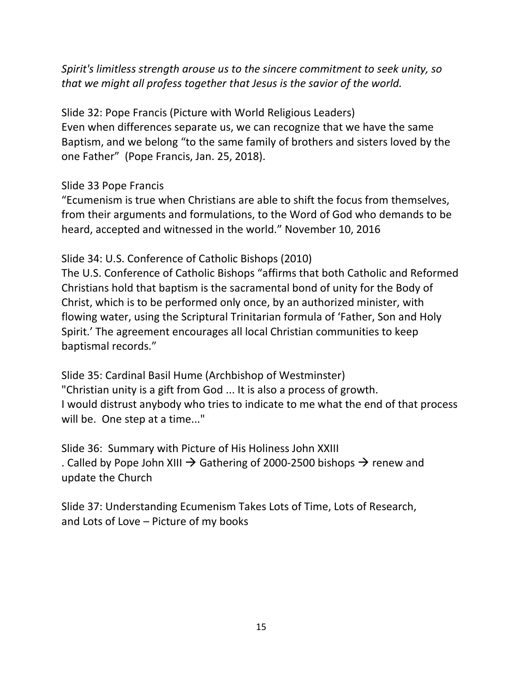*Spirit's limitless strength arouse us to the sincere commitment to seek unity, so that we might all profess together that Jesus is the savior of the world.*

Slide 32: Pope Francis (Picture with World Religious Leaders) Even when differences separate us, we can recognize that we have the same Baptism, and we belong "to the same family of brothers and sisters loved by the one Father" (Pope Francis, Jan. 25, 2018).

### Slide 33 Pope Francis

"Ecumenism is true when Christians are able to shift the focus from themselves, from their arguments and formulations, to the Word of God who demands to be heard, accepted and witnessed in the world." November 10, 2016

### Slide 34: U.S. Conference of Catholic Bishops (2010)

The U.S. Conference of Catholic Bishops "affirms that both Catholic and Reformed Christians hold that baptism is the sacramental bond of unity for the Body of Christ, which is to be performed only once, by an authorized minister, with flowing water, using the Scriptural Trinitarian formula of 'Father, Son and Holy Spirit.' The agreement encourages all local Christian communities to keep baptismal records."

Slide 35: Cardinal Basil Hume (Archbishop of Westminster) "Christian unity is a gift from God ... It is also a process of growth. I would distrust anybody who tries to indicate to me what the end of that process will be. One step at a time..."

Slide 36: Summary with Picture of His Holiness John XXIII . Called by Pope John XIII  $\rightarrow$  Gathering of 2000-2500 bishops  $\rightarrow$  renew and update the Church

Slide 37: Understanding Ecumenism Takes Lots of Time, Lots of Research, and Lots of Love – Picture of my books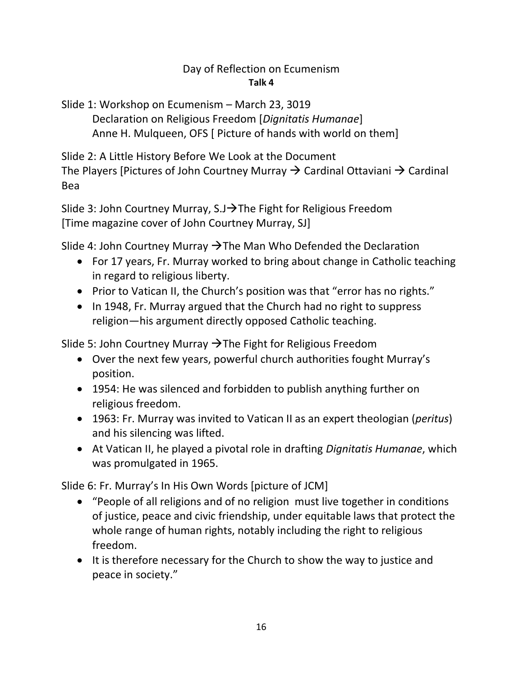## Day of Reflection on Ecumenism **Talk 4**

Slide 1: Workshop on Ecumenism – March 23, 3019 Declaration on Religious Freedom [*Dignitatis Humanae*] Anne H. Mulqueen, OFS [ Picture of hands with world on them]

Slide 2: A Little History Before We Look at the Document The Players [Pictures of John Courtney Murray  $\rightarrow$  Cardinal Ottaviani  $\rightarrow$  Cardinal Bea

Slide 3: John Courtney Murray, S.J→The Fight for Religious Freedom [Time magazine cover of John Courtney Murray, SJ]

Slide 4: John Courtney Murray  $\rightarrow$  The Man Who Defended the Declaration

- For 17 years, Fr. Murray worked to bring about change in Catholic teaching in regard to religious liberty.
- Prior to Vatican II, the Church's position was that "error has no rights."
- In 1948, Fr. Murray argued that the Church had no right to suppress religion—his argument directly opposed Catholic teaching.

Slide 5: John Courtney Murray  $\rightarrow$  The Fight for Religious Freedom

- Over the next few years, powerful church authorities fought Murray's position.
- 1954: He was silenced and forbidden to publish anything further on religious freedom.
- 1963: Fr. Murray was invited to Vatican II as an expert theologian (*peritus*) and his silencing was lifted.
- At Vatican II, he played a pivotal role in drafting *Dignitatis Humanae*, which was promulgated in 1965.

Slide 6: Fr. Murray's In His Own Words [picture of JCM]

- "People of all religions and of no religion must live together in conditions of justice, peace and civic friendship, under equitable laws that protect the whole range of human rights, notably including the right to religious freedom.
- It is therefore necessary for the Church to show the way to justice and peace in society."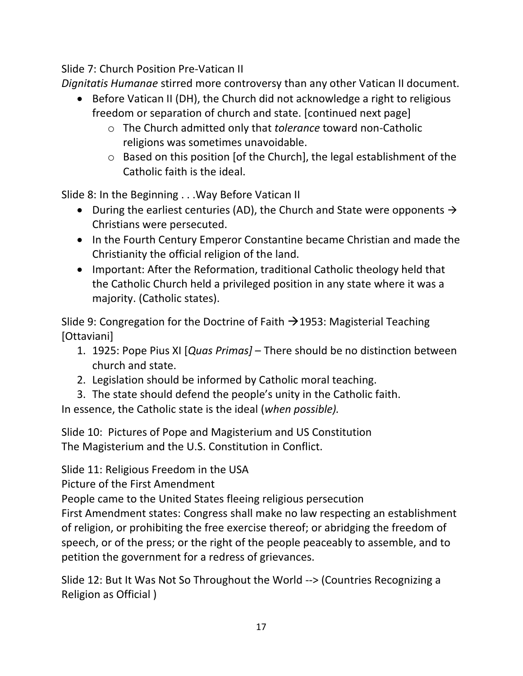Slide 7: Church Position Pre-Vatican II

*Dignitatis Humanae* stirred more controversy than any other Vatican II document.

- Before Vatican II (DH), the Church did not acknowledge a right to religious freedom or separation of church and state. [continued next page]
	- o The Church admitted only that *tolerance* toward non-Catholic religions was sometimes unavoidable.
	- o Based on this position [of the Church], the legal establishment of the Catholic faith is the ideal.

Slide 8: In the Beginning . . .Way Before Vatican II

- During the earliest centuries (AD), the Church and State were opponents  $\rightarrow$ Christians were persecuted.
- In the Fourth Century Emperor Constantine became Christian and made the Christianity the official religion of the land.
- Important: After the Reformation, traditional Catholic theology held that the Catholic Church held a privileged position in any state where it was a majority. (Catholic states).

Slide 9: Congregation for the Doctrine of Faith  $\rightarrow$  1953: Magisterial Teaching [Ottaviani]

- 1. 1925: Pope Pius XI [*Quas Primas]*  There should be no distinction between church and state.
- 2. Legislation should be informed by Catholic moral teaching.
- 3. The state should defend the people's unity in the Catholic faith.

In essence, the Catholic state is the ideal (*when possible).*

Slide 10: Pictures of Pope and Magisterium and US Constitution The Magisterium and the U.S. Constitution in Conflict.

Slide 11: Religious Freedom in the USA

Picture of the First Amendment

People came to the United States fleeing religious persecution

First Amendment states: Congress shall make no law respecting an establishment of religion, or prohibiting the free exercise thereof; or abridging the freedom of speech, or of the press; or the right of the people peaceably to assemble, and to petition the government for a redress of grievances.

Slide 12: But It Was Not So Throughout the World --> (Countries Recognizing a Religion as Official )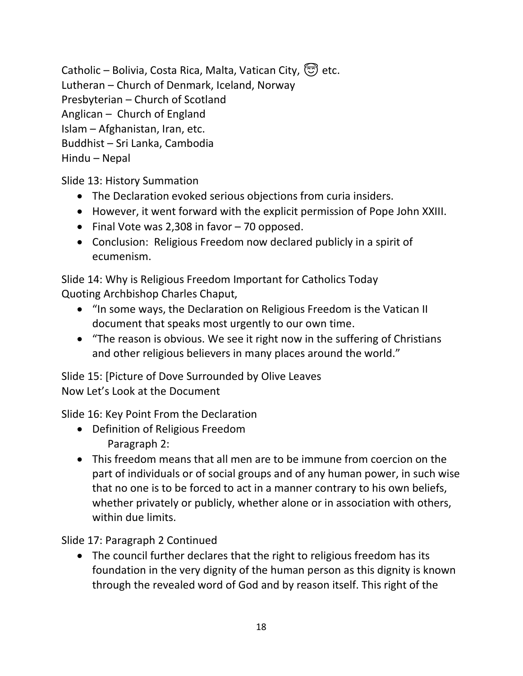Catholic – Bolivia, Costa Rica, Malta, Vatican City,  $\circled{z}$  etc. Lutheran – Church of Denmark, Iceland, Norway Presbyterian – Church of Scotland Anglican – Church of England Islam – Afghanistan, Iran, etc. Buddhist – Sri Lanka, Cambodia Hindu – Nepal

Slide 13: History Summation

- The Declaration evoked serious objections from curia insiders.
- However, it went forward with the explicit permission of Pope John XXIII.
- Final Vote was 2,308 in favor 70 opposed.
- Conclusion: Religious Freedom now declared publicly in a spirit of ecumenism.

Slide 14: Why is Religious Freedom Important for Catholics Today Quoting Archbishop Charles Chaput,

- "In some ways, the Declaration on Religious Freedom is the Vatican II document that speaks most urgently to our own time.
- "The reason is obvious. We see it right now in the suffering of Christians and other religious believers in many places around the world."

Slide 15: [Picture of Dove Surrounded by Olive Leaves Now Let's Look at the Document

Slide 16: Key Point From the Declaration

- Definition of Religious Freedom Paragraph 2:
- This freedom means that all men are to be immune from coercion on the part of individuals or of social groups and of any human power, in such wise that no one is to be forced to act in a manner contrary to his own beliefs, whether privately or publicly, whether alone or in association with others, within due limits.

Slide 17: Paragraph 2 Continued

• The council further declares that the right to religious freedom has its foundation in the very dignity of the human person as this dignity is known through the revealed word of God and by reason itself. This right of the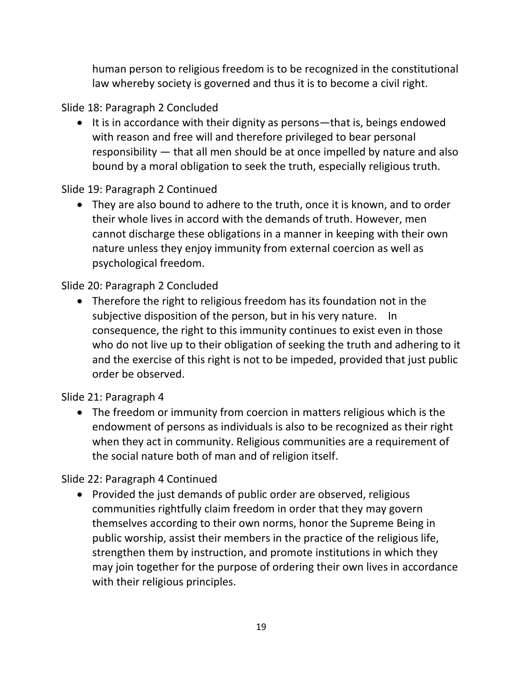human person to religious freedom is to be recognized in the constitutional law whereby society is governed and thus it is to become a civil right.

Slide 18: Paragraph 2 Concluded

• It is in accordance with their dignity as persons—that is, beings endowed with reason and free will and therefore privileged to bear personal responsibility — that all men should be at once impelled by nature and also bound by a moral obligation to seek the truth, especially religious truth.

Slide 19: Paragraph 2 Continued

• They are also bound to adhere to the truth, once it is known, and to order their whole lives in accord with the demands of truth. However, men cannot discharge these obligations in a manner in keeping with their own nature unless they enjoy immunity from external coercion as well as psychological freedom.

Slide 20: Paragraph 2 Concluded

• Therefore the right to religious freedom has its foundation not in the subjective disposition of the person, but in his very nature. In consequence, the right to this immunity continues to exist even in those who do not live up to their obligation of seeking the truth and adhering to it and the exercise of this right is not to be impeded, provided that just public order be observed.

Slide 21: Paragraph 4

• The freedom or immunity from coercion in matters religious which is the endowment of persons as individuals is also to be recognized as their right when they act in community. Religious communities are a requirement of the social nature both of man and of religion itself.

Slide 22: Paragraph 4 Continued

• Provided the just demands of public order are observed, religious communities rightfully claim freedom in order that they may govern themselves according to their own norms, honor the Supreme Being in public worship, assist their members in the practice of the religious life, strengthen them by instruction, and promote institutions in which they may join together for the purpose of ordering their own lives in accordance with their religious principles.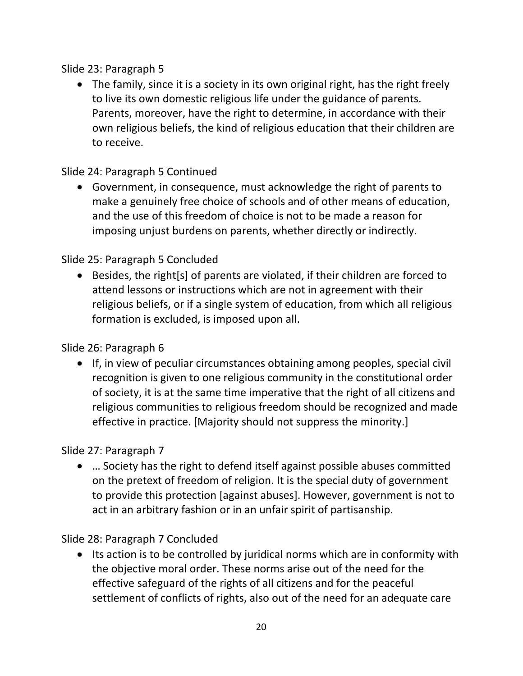Slide 23: Paragraph 5

• The family, since it is a society in its own original right, has the right freely to live its own domestic religious life under the guidance of parents. Parents, moreover, have the right to determine, in accordance with their own religious beliefs, the kind of religious education that their children are to receive.

Slide 24: Paragraph 5 Continued

• Government, in consequence, must acknowledge the right of parents to make a genuinely free choice of schools and of other means of education, and the use of this freedom of choice is not to be made a reason for imposing unjust burdens on parents, whether directly or indirectly.

Slide 25: Paragraph 5 Concluded

• Besides, the right[s] of parents are violated, if their children are forced to attend lessons or instructions which are not in agreement with their religious beliefs, or if a single system of education, from which all religious formation is excluded, is imposed upon all.

Slide 26: Paragraph 6

• If, in view of peculiar circumstances obtaining among peoples, special civil recognition is given to one religious community in the constitutional order of society, it is at the same time imperative that the right of all citizens and religious communities to religious freedom should be recognized and made effective in practice. [Majority should not suppress the minority.]

Slide 27: Paragraph 7

• … Society has the right to defend itself against possible abuses committed on the pretext of freedom of religion. It is the special duty of government to provide this protection [against abuses]. However, government is not to act in an arbitrary fashion or in an unfair spirit of partisanship.

Slide 28: Paragraph 7 Concluded

• Its action is to be controlled by juridical norms which are in conformity with the objective moral order. These norms arise out of the need for the effective safeguard of the rights of all citizens and for the peaceful settlement of conflicts of rights, also out of the need for an adequate care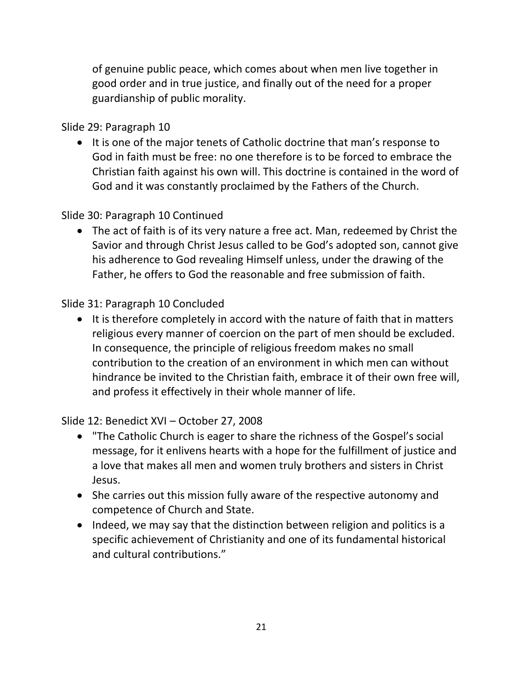of genuine public peace, which comes about when men live together in good order and in true justice, and finally out of the need for a proper guardianship of public morality.

Slide 29: Paragraph 10

• It is one of the major tenets of Catholic doctrine that man's response to God in faith must be free: no one therefore is to be forced to embrace the Christian faith against his own will. This doctrine is contained in the word of God and it was constantly proclaimed by the Fathers of the Church.

## Slide 30: Paragraph 10 Continued

• The act of faith is of its very nature a free act. Man, redeemed by Christ the Savior and through Christ Jesus called to be God's adopted son, cannot give his adherence to God revealing Himself unless, under the drawing of the Father, he offers to God the reasonable and free submission of faith.

## Slide 31: Paragraph 10 Concluded

• It is therefore completely in accord with the nature of faith that in matters religious every manner of coercion on the part of men should be excluded. In consequence, the principle of religious freedom makes no small contribution to the creation of an environment in which men can without hindrance be invited to the Christian faith, embrace it of their own free will, and profess it effectively in their whole manner of life.

Slide 12: Benedict XVI – October 27, 2008

- "The Catholic Church is eager to share the richness of the Gospel's social message, for it enlivens hearts with a hope for the fulfillment of justice and a love that makes all men and women truly brothers and sisters in Christ Jesus.
- She carries out this mission fully aware of the respective autonomy and competence of Church and State.
- Indeed, we may say that the distinction between religion and politics is a specific achievement of Christianity and one of its fundamental historical and cultural contributions."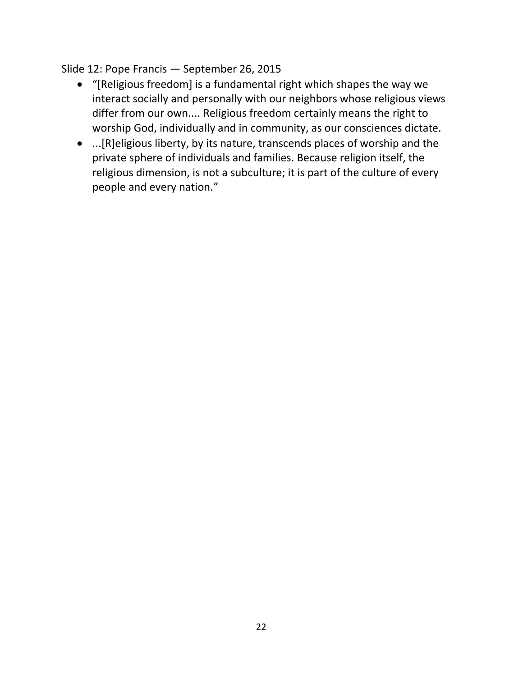Slide 12: Pope Francis — September 26, 2015

- "[Religious freedom] is a fundamental right which shapes the way we interact socially and personally with our neighbors whose religious views differ from our own.... Religious freedom certainly means the right to worship God, individually and in community, as our consciences dictate.
- ...[R]eligious liberty, by its nature, transcends places of worship and the private sphere of individuals and families. Because religion itself, the religious dimension, is not a subculture; it is part of the culture of every people and every nation."